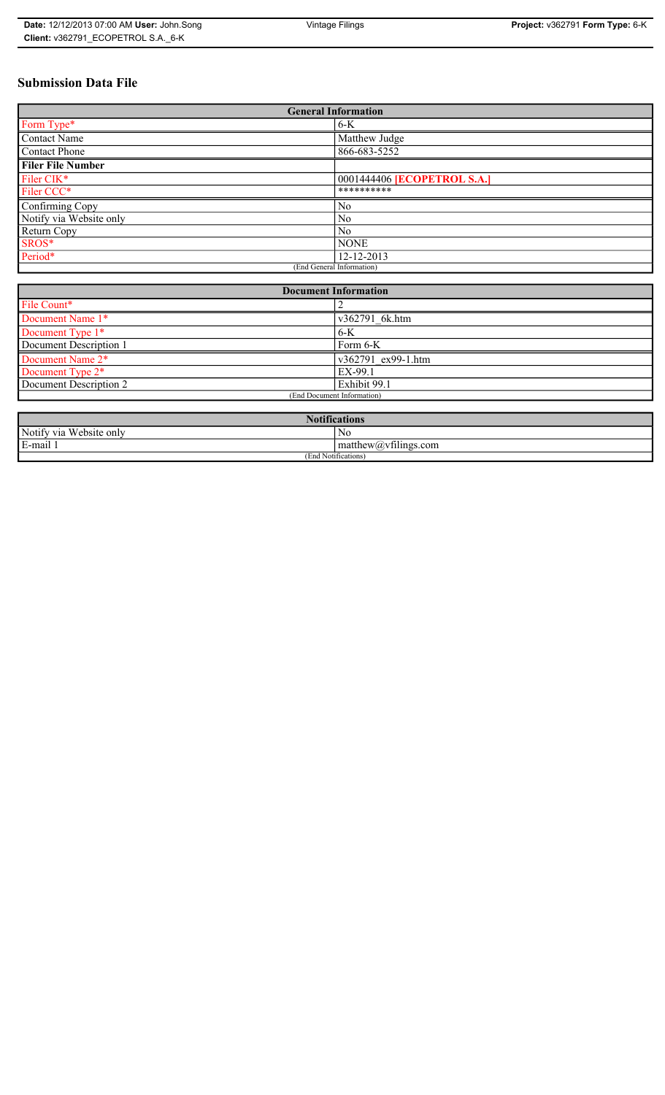# **Submission Data File**

| <b>General Information</b> |                             |
|----------------------------|-----------------------------|
| Form Type*                 | $6-K$                       |
| <b>Contact Name</b>        | Matthew Judge               |
| <b>Contact Phone</b>       | 866-683-5252                |
| <b>Filer File Number</b>   |                             |
| Filer CIK*                 | 0001444406 [ECOPETROL S.A.] |
| Filer CCC*                 | **********                  |
| Confirming Copy            | N <sub>0</sub>              |
| Notify via Website only    | N <sub>0</sub>              |
| Return Copy                | N <sub>0</sub>              |
| SROS*                      | <b>NONE</b>                 |
| Period*                    | 12-12-2013                  |
| (End General Information)  |                             |

| <b>Document Information</b>  |                    |
|------------------------------|--------------------|
| File Count*                  |                    |
| Document Name 1*             | v362791 6k.htm     |
| Document Type 1*             | $6-K$              |
| Document Description 1       | Form 6-K           |
| Document Name 2*             | v362791 ex99-1.htm |
| Document Type 2 <sup>*</sup> | EX-99.1            |
| Document Description 2       | Exhibit 99.1       |
| (End Document Information)   |                    |
|                              |                    |

| <b>Notifications</b><br><b>AT</b>     |                                          |
|---------------------------------------|------------------------------------------|
| Notify via<br>T T T<br>a Website only | No                                       |
| 3-mail <sup>1</sup><br>$\blacksquare$ | $\sim$ 1.2<br>$mathew(a)$ , viilings.com |
| (End Notifications)                   |                                          |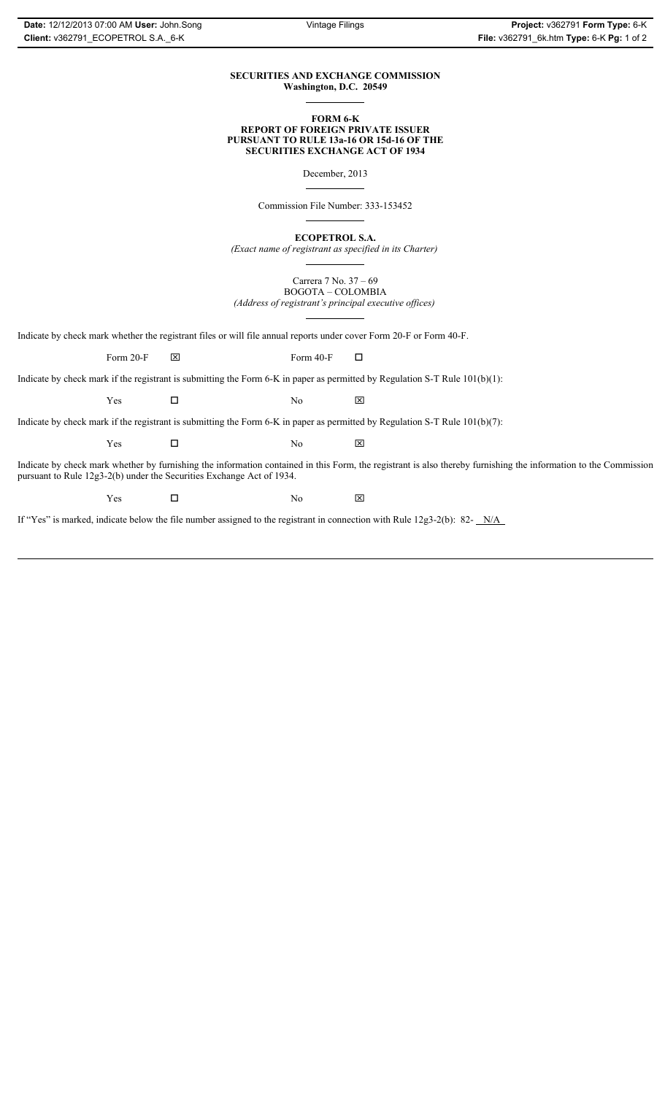## **SECURITIES AND EXCHANGE COMMISSION Washington, D.C. 20549**

### **FORM 6-K REPORT OF FOREIGN PRIVATE ISSUER PURSUANT TO RULE 13a-16 OR 15d-16 OF THE SECURITIES EXCHANGE ACT OF 1934**

December, 2013

Commission File Number: 333-153452

**ECOPETROL S.A.**

*(Exact name of registrant as specified in its Charter)*

Carrera 7 No. 37 – 69 BOGOTA – COLOMBIA *(Address of registrant's principal executive offices)*

Indicate by check mark whether the registrant files or will file annual reports under cover Form 20-F or Form 40-F.

Form 20-F  $\boxtimes$  Form 40-F  $\Box$ 

Indicate by check mark if the registrant is submitting the Form 6-K in paper as permitted by Regulation S-T Rule 101(b)(1):

 $Yes$   $\Box$  No  $X$ 

Indicate by check mark if the registrant is submitting the Form 6-K in paper as permitted by Regulation S-T Rule 101(b)(7):

 $Yes$   $\Box$  No  $X$ 

Indicate by check mark whether by furnishing the information contained in this Form, the registrant is also thereby furnishing the information to the Commission pursuant to Rule 12g3-2(b) under the Securities Exchange Act of 1934.

 $Yes$   $\Box$  No  $X$ 

If "Yes" is marked, indicate below the file number assigned to the registrant in connection with Rule 12g3-2(b): 82- N/A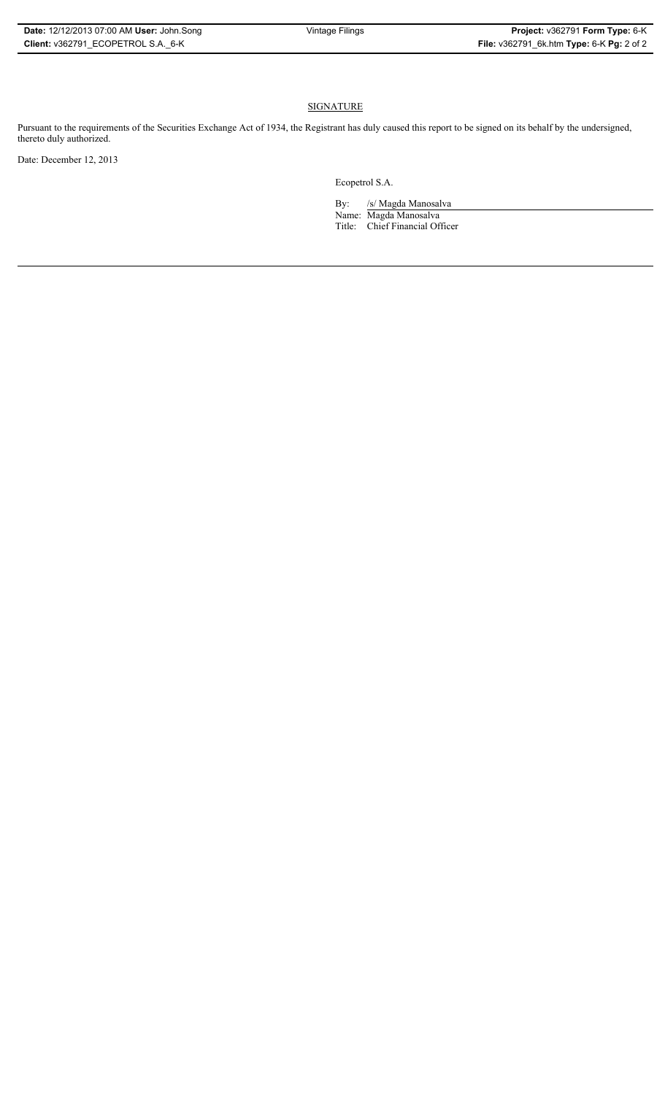# **SIGNATURE**

Pursuant to the requirements of the Securities Exchange Act of 1934, the Registrant has duly caused this report to be signed on its behalf by the undersigned, thereto duly authorized.

Date: December 12, 2013

Ecopetrol S.A.

By: /s/ Magda Manosalva Name: Magda Manosalva Title: Chief Financial Officer